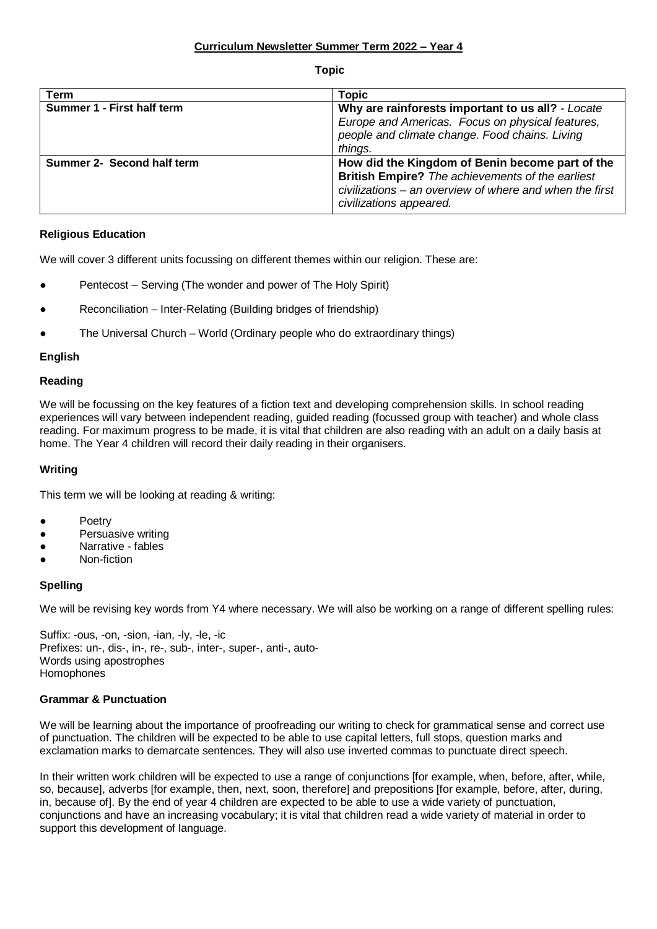**Topic**

| <b>Term</b>                | <b>Topic</b>                                                                                                                                                                                     |
|----------------------------|--------------------------------------------------------------------------------------------------------------------------------------------------------------------------------------------------|
| Summer 1 - First half term | Why are rainforests important to us all? - Locate<br>Europe and Americas. Focus on physical features,<br>people and climate change. Food chains. Living<br>things.                               |
| Summer 2- Second half term | How did the Kingdom of Benin become part of the<br><b>British Empire?</b> The achievements of the earliest<br>civilizations – an overview of where and when the first<br>civilizations appeared. |

# **Religious Education**

We will cover 3 different units focussing on different themes within our religion. These are:

- Pentecost Serving (The wonder and power of The Holy Spirit)
- Reconciliation Inter-Relating (Building bridges of friendship)
- The Universal Church World (Ordinary people who do extraordinary things)

### **English**

### **Reading**

We will be focussing on the key features of a fiction text and developing comprehension skills. In school reading experiences will vary between independent reading, guided reading (focussed group with teacher) and whole class reading. For maximum progress to be made, it is vital that children are also reading with an adult on a daily basis at home. The Year 4 children will record their daily reading in their organisers.

### **Writing**

This term we will be looking at reading & writing:

- **Poetry**
- Persuasive writing
- Narrative fables
- Non-fiction

# **Spelling**

We will be revising key words from Y4 where necessary. We will also be working on a range of different spelling rules:

Suffix: -ous, -on, -sion, -ian, -ly, -le, -ic Prefixes: un-, dis-, in-, re-, sub-, inter-, super-, anti-, auto-Words using apostrophes Homophones

### **Grammar & Punctuation**

We will be learning about the importance of proofreading our writing to check for grammatical sense and correct use of punctuation. The children will be expected to be able to use capital letters, full stops, question marks and exclamation marks to demarcate sentences. They will also use inverted commas to punctuate direct speech.

In their written work children will be expected to use a range of conjunctions [for example, when, before, after, while, so, because], adverbs [for example, then, next, soon, therefore] and prepositions [for example, before, after, during, in, because of]. By the end of year 4 children are expected to be able to use a wide variety of punctuation, conjunctions and have an increasing vocabulary; it is vital that children read a wide variety of material in order to support this development of language.